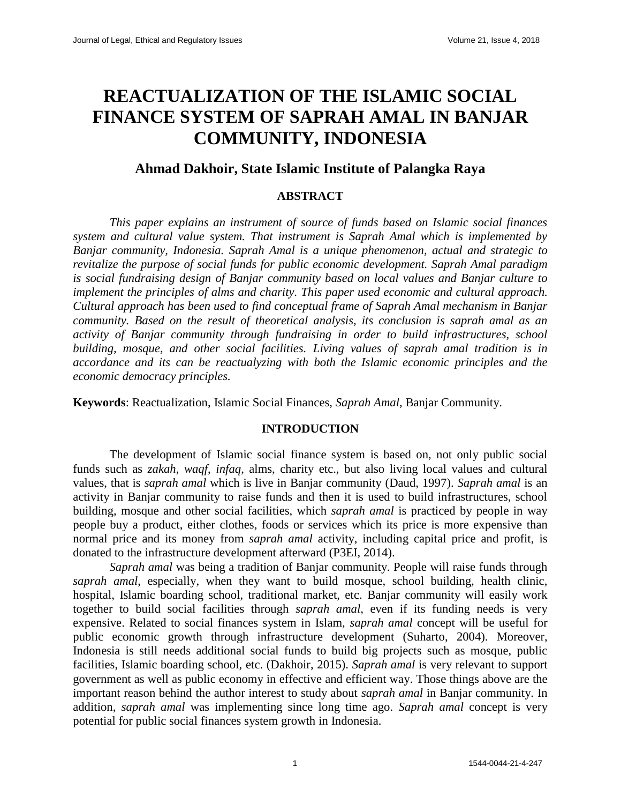# **REACTUALIZATION OF THE ISLAMIC SOCIAL FINANCE SYSTEM OF SAPRAH AMAL IN BANJAR COMMUNITY, INDONESIA**

# **Ahmad Dakhoir, State Islamic Institute of Palangka Raya**

### **ABSTRACT**

*This paper explains an instrument of source of funds based on Islamic social finances system and cultural value system. That instrument is Saprah Amal which is implemented by Banjar community, Indonesia. Saprah Amal is a unique phenomenon, actual and strategic to revitalize the purpose of social funds for public economic development. Saprah Amal paradigm is social fundraising design of Banjar community based on local values and Banjar culture to implement the principles of alms and charity. This paper used economic and cultural approach. Cultural approach has been used to find conceptual frame of Saprah Amal mechanism in Banjar community. Based on the result of theoretical analysis, its conclusion is saprah amal as an activity of Banjar community through fundraising in order to build infrastructures, school building, mosque, and other social facilities. Living values of saprah amal tradition is in accordance and its can be reactualyzing with both the Islamic economic principles and the economic democracy principles.*

**Keywords**: Reactualization, Islamic Social Finances, *Saprah Amal*, Banjar Community.

### **INTRODUCTION**

The development of Islamic social finance system is based on, not only public social funds such as *zakah*, *waqf*, *infaq*, alms, charity etc., but also living local values and cultural values, that is *saprah amal* which is live in Banjar community (Daud, 1997). *Saprah amal* is an activity in Banjar community to raise funds and then it is used to build infrastructures, school building, mosque and other social facilities, which *saprah amal* is practiced by people in way people buy a product, either clothes, foods or services which its price is more expensive than normal price and its money from *saprah amal* activity, including capital price and profit, is donated to the infrastructure development afterward (P3EI, 2014).

*Saprah amal* was being a tradition of Banjar community. People will raise funds through *saprah amal*, especially, when they want to build mosque, school building, health clinic, hospital, Islamic boarding school, traditional market, etc. Banjar community will easily work together to build social facilities through *saprah amal*, even if its funding needs is very expensive. Related to social finances system in Islam, *saprah amal* concept will be useful for public economic growth through infrastructure development (Suharto, 2004). Moreover, Indonesia is still needs additional social funds to build big projects such as mosque, public facilities, Islamic boarding school, etc. (Dakhoir, 2015). *Saprah amal* is very relevant to support government as well as public economy in effective and efficient way. Those things above are the important reason behind the author interest to study about *saprah amal* in Banjar community. In addition, *saprah amal* was implementing since long time ago. *Saprah amal* concept is very potential for public social finances system growth in Indonesia.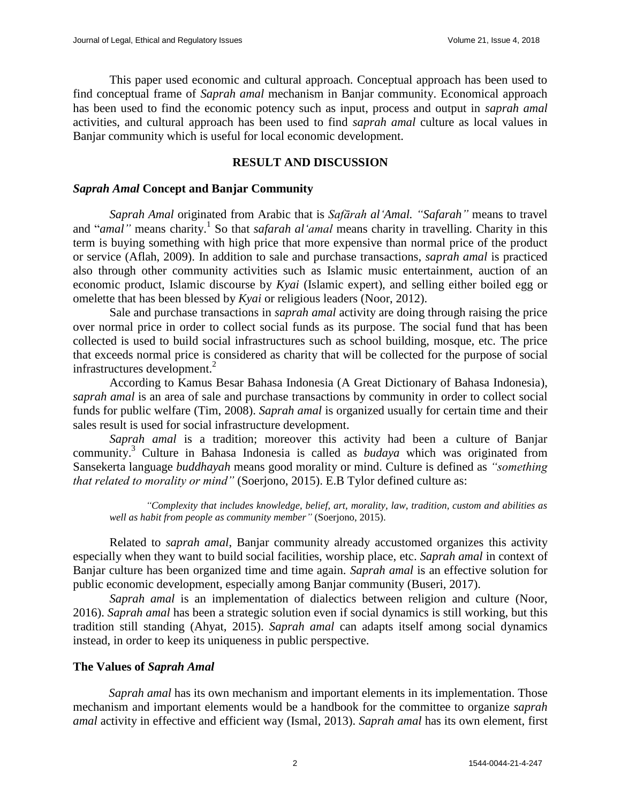This paper used economic and cultural approach. Conceptual approach has been used to find conceptual frame of *Saprah amal* mechanism in Banjar community. Economical approach has been used to find the economic potency such as input, process and output in *saprah amal* activities, and cultural approach has been used to find *saprah amal* culture as local values in Banjar community which is useful for local economic development.

## **RESULT AND DISCUSSION**

### *Saprah Amal* **Concept and Banjar Community**

*Saprah Amal* originated from Arabic that is *Safārah al'Amal. "Safarah"* means to travel and "*amal"* means charity. 1 So that *safarah al'amal* means charity in travelling. Charity in this term is buying something with high price that more expensive than normal price of the product or service (Aflah, 2009). In addition to sale and purchase transactions, *saprah amal* is practiced also through other community activities such as Islamic music entertainment, auction of an economic product, Islamic discourse by *Kyai* (Islamic expert), and selling either boiled egg or omelette that has been blessed by *Kyai* or religious leaders (Noor, 2012).

Sale and purchase transactions in *saprah amal* activity are doing through raising the price over normal price in order to collect social funds as its purpose. The social fund that has been collected is used to build social infrastructures such as school building, mosque, etc. The price that exceeds normal price is considered as charity that will be collected for the purpose of social infrastructures development. 2

According to Kamus Besar Bahasa Indonesia (A Great Dictionary of Bahasa Indonesia), *saprah amal* is an area of sale and purchase transactions by community in order to collect social funds for public welfare (Tim, 2008). *Saprah amal* is organized usually for certain time and their sales result is used for social infrastructure development.

*Saprah amal* is a tradition; moreover this activity had been a culture of Banjar community. <sup>3</sup> Culture in Bahasa Indonesia is called as *budaya* which was originated from Sansekerta language *buddhayah* means good morality or mind. Culture is defined as *"something that related to morality or mind"* (Soerjono, 2015). E.B Tylor defined culture as:

*"Complexity that includes knowledge, belief, art, morality, law, tradition, custom and abilities as well as habit from people as community member"* (Soerjono, 2015).

Related to *saprah amal*, Banjar community already accustomed organizes this activity especially when they want to build social facilities, worship place, etc. *Saprah amal* in context of Banjar culture has been organized time and time again. *Saprah amal* is an effective solution for public economic development, especially among Banjar community (Buseri, 2017).

*Saprah amal* is an implementation of dialectics between religion and culture (Noor, 2016). *Saprah amal* has been a strategic solution even if social dynamics is still working, but this tradition still standing (Ahyat, 2015). *Saprah amal* can adapts itself among social dynamics instead, in order to keep its uniqueness in public perspective.

# **The Values of** *Saprah Amal*

*Saprah amal* has its own mechanism and important elements in its implementation. Those mechanism and important elements would be a handbook for the committee to organize *saprah amal* activity in effective and efficient way (Ismal, 2013). *Saprah amal* has its own element, first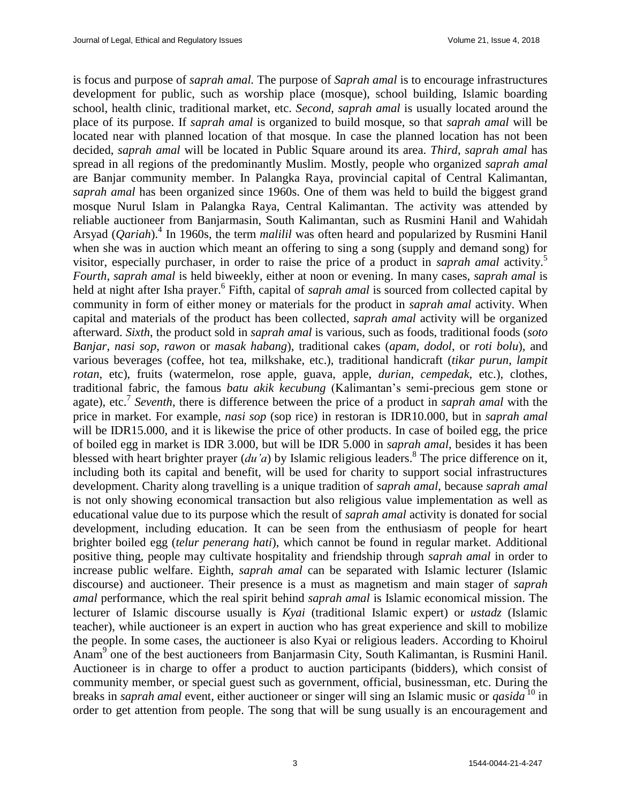is focus and purpose of *saprah amal.* The purpose of *Saprah amal* is to encourage infrastructures development for public, such as worship place (mosque), school building, Islamic boarding school, health clinic, traditional market, etc. *Second*, *saprah amal* is usually located around the place of its purpose. If *saprah amal* is organized to build mosque, so that *saprah amal* will be located near with planned location of that mosque. In case the planned location has not been decided, *saprah amal* will be located in Public Square around its area. *Third*, *saprah amal* has spread in all regions of the predominantly Muslim. Mostly, people who organized *saprah amal* are Banjar community member. In Palangka Raya, provincial capital of Central Kalimantan, *saprah amal* has been organized since 1960s. One of them was held to build the biggest grand mosque Nurul Islam in Palangka Raya, Central Kalimantan. The activity was attended by reliable auctioneer from Banjarmasin, South Kalimantan, such as Rusmini Hanil and Wahidah Arsyad (*Qariah*).<sup>4</sup> In 1960s, the term *malilil* was often heard and popularized by Rusmini Hanil when she was in auction which meant an offering to sing a song (supply and demand song) for visitor, especially purchaser, in order to raise the price of a product in *saprah amal* activity. 5 *Fourth*, *saprah amal* is held biweekly, either at noon or evening. In many cases, *saprah amal* is held at night after Isha prayer. 6 Fifth, capital of *saprah amal* is sourced from collected capital by community in form of either money or materials for the product in *saprah amal* activity. When capital and materials of the product has been collected*, saprah amal* activity will be organized afterward. *Sixth*, the product sold in *saprah amal* is various, such as foods, traditional foods (*soto Banjar*, *nasi sop*, *rawon* or *masak habang*), traditional cakes (*apam*, *dodol*, or *roti bolu*), and various beverages (coffee, hot tea, milkshake, etc.), traditional handicraft (*tikar purun*, *lampit rotan*, etc), fruits (watermelon, rose apple, guava, apple, *durian*, *cempedak*, etc.), clothes, traditional fabric, the famous *batu akik kecubung* (Kalimantan's semi-precious gem stone or agate), etc. 7 *Seventh*, there is difference between the price of a product in *saprah amal* with the price in market. For example, *nasi sop* (sop rice) in restoran is IDR10.000, but in *saprah amal* will be IDR15.000, and it is likewise the price of other products. In case of boiled egg, the price of boiled egg in market is IDR 3.000, but will be IDR 5.000 in *saprah amal*, besides it has been blessed with heart brighter prayer (*du'a*) by Islamic religious leaders. 8 The price difference on it, including both its capital and benefit, will be used for charity to support social infrastructures development. Charity along travelling is a unique tradition of *saprah amal*, because *saprah amal* is not only showing economical transaction but also religious value implementation as well as educational value due to its purpose which the result of *saprah amal* activity is donated for social development, including education. It can be seen from the enthusiasm of people for heart brighter boiled egg (*telur penerang hati*), which cannot be found in regular market. Additional positive thing, people may cultivate hospitality and friendship through *saprah amal* in order to increase public welfare. Eighth, *saprah amal* can be separated with Islamic lecturer (Islamic discourse) and auctioneer. Their presence is a must as magnetism and main stager of *saprah amal* performance, which the real spirit behind *saprah amal* is Islamic economical mission. The lecturer of Islamic discourse usually is *Kyai* (traditional Islamic expert) or *ustadz* (Islamic teacher), while auctioneer is an expert in auction who has great experience and skill to mobilize the people. In some cases, the auctioneer is also Kyai or religious leaders. According to Khoirul Anam<sup>9</sup> one of the best auctioneers from Banjarmasin City, South Kalimantan, is Rusmini Hanil. Auctioneer is in charge to offer a product to auction participants (bidders), which consist of community member, or special guest such as government, official, businessman, etc. During the breaks in *saprah amal* event, either auctioneer or singer will sing an Islamic music or *qasida* <sup>10</sup> in order to get attention from people. The song that will be sung usually is an encouragement and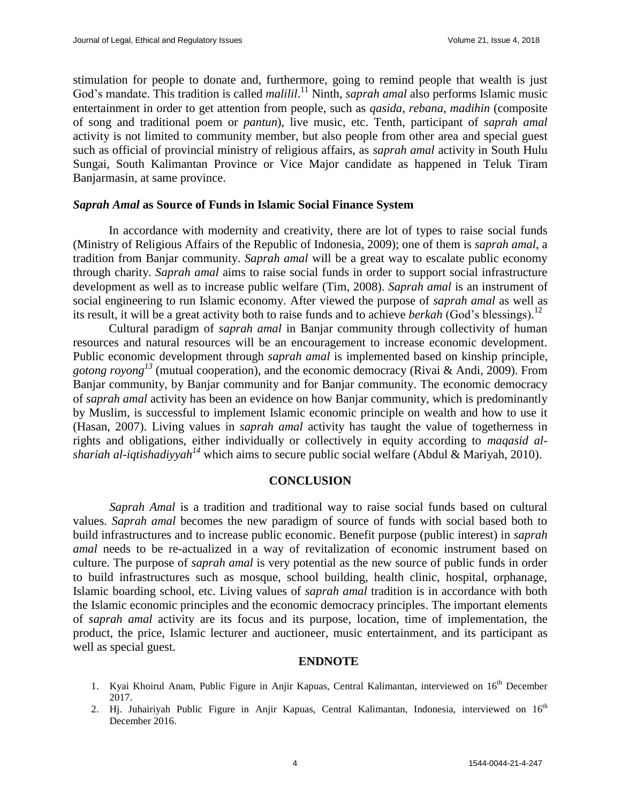stimulation for people to donate and, furthermore, going to remind people that wealth is just God's mandate. This tradition is called *malilil*.<sup>11</sup> Ninth, *saprah amal* also performs Islamic music entertainment in order to get attention from people, such as *qasida*, *rebana*, *madihin* (composite of song and traditional poem or *pantun*), live music, etc. Tenth, participant of *saprah amal*  activity is not limited to community member, but also people from other area and special guest such as official of provincial ministry of religious affairs, as *saprah amal* activity in South Hulu Sungai, South Kalimantan Province or Vice Major candidate as happened in Teluk Tiram Banjarmasin, at same province.

#### *Saprah Amal* **as Source of Funds in Islamic Social Finance System**

In accordance with modernity and creativity, there are lot of types to raise social funds (Ministry of Religious Affairs of the Republic of Indonesia, 2009); one of them is *saprah amal*, a tradition from Banjar community. *Saprah amal* will be a great way to escalate public economy through charity. *Saprah amal* aims to raise social funds in order to support social infrastructure development as well as to increase public welfare (Tim, 2008). *Saprah amal* is an instrument of social engineering to run Islamic economy. After viewed the purpose of *saprah amal* as well as its result, it will be a great activity both to raise funds and to achieve *berkah* (God's blessings). 12

Cultural paradigm of *saprah amal* in Banjar community through collectivity of human resources and natural resources will be an encouragement to increase economic development. Public economic development through *saprah amal* is implemented based on kinship principle, *gotong royong<sup>13</sup>* (mutual cooperation), and the economic democracy (Rivai & Andi, 2009). From Banjar community, by Banjar community and for Banjar community. The economic democracy of *saprah amal* activity has been an evidence on how Banjar community, which is predominantly by Muslim, is successful to implement Islamic economic principle on wealth and how to use it (Hasan, 2007). Living values in *saprah amal* activity has taught the value of togetherness in rights and obligations, either individually or collectively in equity according to *maqasid alshariah al-iqtishadiyyah<sup>14</sup>* which aims to secure public social welfare (Abdul & Mariyah, 2010).

#### **CONCLUSION**

*Saprah Amal* is a tradition and traditional way to raise social funds based on cultural values. *Saprah amal* becomes the new paradigm of source of funds with social based both to build infrastructures and to increase public economic. Benefit purpose (public interest) in *saprah amal* needs to be re-actualized in a way of revitalization of economic instrument based on culture. The purpose of *saprah amal* is very potential as the new source of public funds in order to build infrastructures such as mosque, school building, health clinic, hospital, orphanage, Islamic boarding school, etc. Living values of *saprah amal* tradition is in accordance with both the Islamic economic principles and the economic democracy principles. The important elements of *saprah amal* activity are its focus and its purpose, location, time of implementation, the product, the price, Islamic lecturer and auctioneer, music entertainment, and its participant as well as special guest.

#### **ENDNOTE**

- 1. Kyai Khoirul Anam, Public Figure in Anjir Kapuas, Central Kalimantan, interviewed on  $16<sup>th</sup>$  December 2017.
- 2. Hj. Juhairiyah Public Figure in Anjir Kapuas, Central Kalimantan, Indonesia, interviewed on 16<sup>th</sup> December 2016.